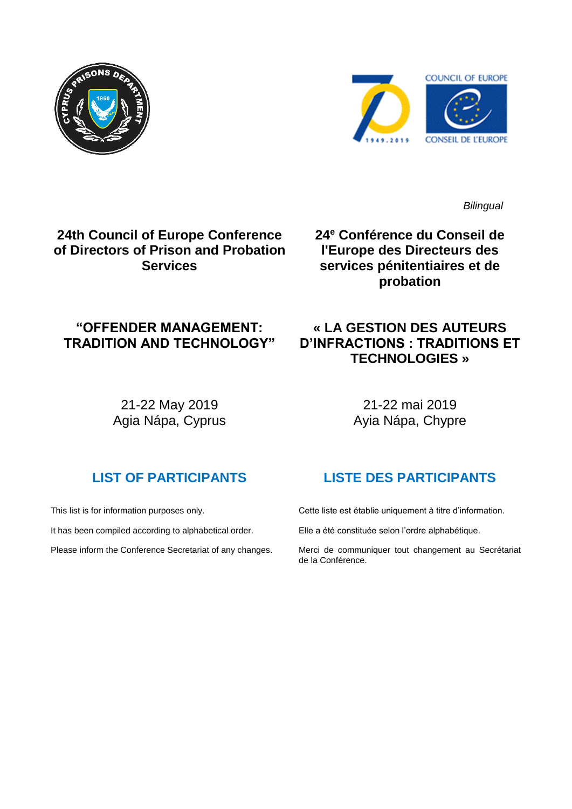



*Bilingual*

## **24th Council of Europe Conference of Directors of Prison and Probation Services**

**24 <sup>e</sup> Conférence du Conseil de l'Europe des Directeurs des services pénitentiaires et de probation**

**« LA GESTION DES AUTEURS D'INFRACTIONS : TRADITIONS ET TECHNOLOGIES »**

## **"OFFENDER MANAGEMENT: TRADITION AND TECHNOLOGY"**

21-22 May 2019 Agia Nápa, Cyprus

21-22 mai 2019 Ayia Nápa, Chypre

# **LIST OF PARTICIPANTS**

This list is for information purposes only.

It has been compiled according to alphabetical order.

Please inform the Conference Secretariat of any changes.

## **LISTE DES PARTICIPANTS**

Cette liste est établie uniquement à titre d'information.

Elle a été constituée selon l'ordre alphabétique.

Merci de communiquer tout changement au Secrétariat de la Conférence.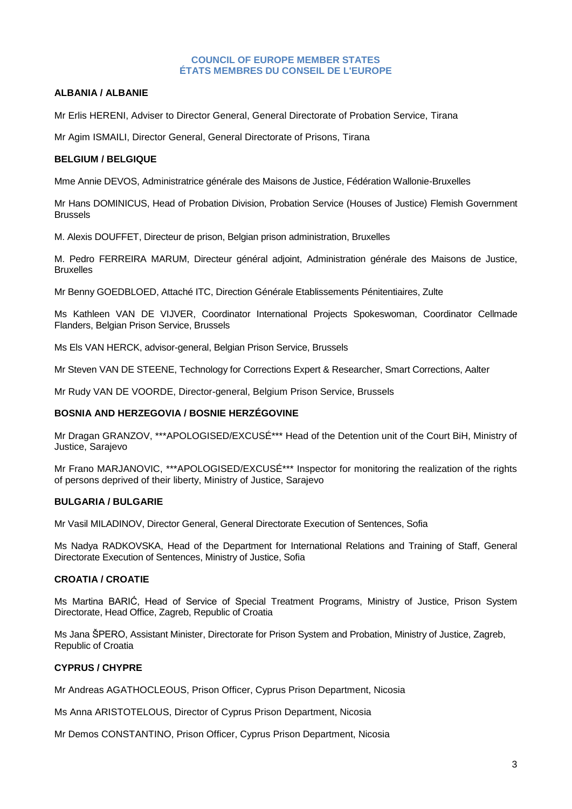#### **COUNCIL OF EUROPE MEMBER STATES ÉTATS MEMBRES DU CONSEIL DE L'EUROPE**

### **ALBANIA / ALBANIE**

Mr Erlis HERENI, Adviser to Director General, General Directorate of Probation Service, Tirana

Mr Agim ISMAILI, Director General, General Directorate of Prisons, Tirana

#### **BELGIUM / BELGIQUE**

Mme Annie DEVOS, Administratrice générale des Maisons de Justice, Fédération Wallonie-Bruxelles

Mr Hans DOMINICUS, Head of Probation Division, Probation Service (Houses of Justice) Flemish Government Brussels

M. Alexis DOUFFET, Directeur de prison, Belgian prison administration, Bruxelles

M. Pedro FERREIRA MARUM, Directeur général adjoint, Administration générale des Maisons de Justice, Bruxelles

Mr Benny GOEDBLOED, Attaché ITC, Direction Générale Etablissements Pénitentiaires, Zulte

Ms Kathleen VAN DE VIJVER, Coordinator International Projects Spokeswoman, Coordinator Cellmade Flanders, Belgian Prison Service, Brussels

Ms Els VAN HERCK, advisor-general, Belgian Prison Service, Brussels

Mr Steven VAN DE STEENE, Technology for Corrections Expert & Researcher, Smart Corrections, Aalter

Mr Rudy VAN DE VOORDE, Director-general, Belgium Prison Service, Brussels

#### **BOSNIA AND HERZEGOVIA / BOSNIE HERZÉGOVINE**

Mr Dragan GRANZOV, \*\*\*APOLOGISED/EXCUSÉ\*\*\* Head of the Detention unit of the Court BiH, Ministry of Justice, Sarajevo

Mr Frano MARJANOVIC, \*\*\*APOLOGISED/EXCUSÉ\*\*\* Inspector for monitoring the realization of the rights of persons deprived of their liberty, Ministry of Justice, Sarajevo

#### **BULGARIA / BULGARIE**

Mr Vasil MILADINOV, Director General, General Directorate Execution of Sentences, Sofia

Ms Nadya RADKOVSKA, Head of the Department for International Relations and Training of Staff, General Directorate Execution of Sentences, Ministry of Justice, Sofia

#### **CROATIA / CROATIE**

Ms Martina BARIĆ, Head of Service of Special Treatment Programs, Ministry of Justice, Prison System Directorate, Head Office, Zagreb, Republic of Croatia

Ms Jana ŠPERO, Assistant Minister, Directorate for Prison System and Probation, Ministry of Justice, Zagreb, Republic of Croatia

### **CYPRUS / CHYPRE**

Mr Andreas AGATHOCLEOUS, Prison Officer, Cyprus Prison Department, Nicosia

Ms Anna ARISTOTELOUS, Director of Cyprus Prison Department, Nicosia

Mr Demos CONSTANTINO, Prison Officer, Cyprus Prison Department, Nicosia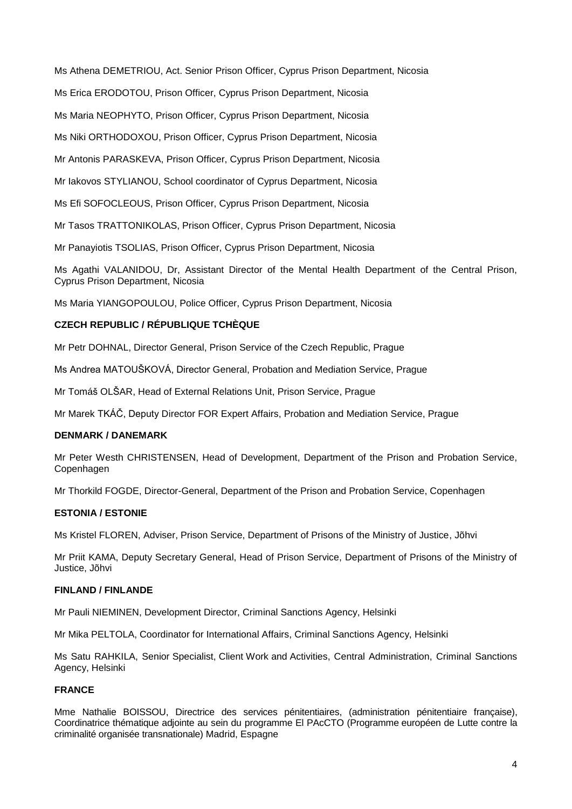Ms Athena DEMETRIOU, Act. Senior Prison Officer, Cyprus Prison Department, Nicosia

Ms Erica ERODOTOU, Prison Officer, Cyprus Prison Department, Nicosia

Ms Maria NEOPHYTO, Prison Officer, Cyprus Prison Department, Nicosia

Ms Niki ORTHODOXOU, Prison Officer, Cyprus Prison Department, Nicosia

Mr Antonis PARASKEVA, Prison Officer, Cyprus Prison Department, Nicosia

Mr Iakovos STYLIANOU, School coordinator of Cyprus Department, Nicosia

Ms Efi SOFOCLEOUS, Prison Officer, Cyprus Prison Department, Nicosia

Mr Tasos TRATTONIKOLAS, Prison Officer, Cyprus Prison Department, Nicosia

Mr Panayiotis TSOLIAS, Prison Officer, Cyprus Prison Department, Nicosia

Ms Agathi VALANIDOU, Dr, Assistant Director of the Mental Health Department of the Central Prison, Cyprus Prison Department, Nicosia

Ms Maria YIANGOPOULOU, Police Officer, Cyprus Prison Department, Nicosia

## **CZECH REPUBLIC / RÉPUBLIQUE TCHÈQUE**

Mr Petr DOHNAL, Director General, Prison Service of the Czech Republic, Prague

Ms Andrea MATOUŠKOVÁ, Director General, Probation and Mediation Service, Prague

Mr Tomáš OLŠAR, Head of External Relations Unit, Prison Service, Prague

Mr Marek TKÁČ, Deputy Director FOR Expert Affairs, Probation and Mediation Service, Prague

### **DENMARK / DANEMARK**

Mr Peter Westh CHRISTENSEN, Head of Development, Department of the Prison and Probation Service, Copenhagen

Mr Thorkild FOGDE, Director-General, Department of the Prison and Probation Service, Copenhagen

### **ESTONIA / ESTONIE**

Ms Kristel FLOREN, Adviser, Prison Service, Department of Prisons of the Ministry of Justice, Jõhvi

Mr Priit KAMA, Deputy Secretary General, Head of Prison Service, Department of Prisons of the Ministry of Justice, Jõhvi

### **FINLAND / FINLANDE**

Mr Pauli NIEMINEN, Development Director, Criminal Sanctions Agency, Helsinki

Mr Mika PELTOLA, Coordinator for International Affairs, Criminal Sanctions Agency, Helsinki

Ms Satu RAHKILA, Senior Specialist, Client Work and Activities, Central Administration, Criminal Sanctions Agency, Helsinki

### **FRANCE**

Mme Nathalie BOISSOU, Directrice des services pénitentiaires, (administration pénitentiaire française), Coordinatrice thématique adjointe au sein du programme El PAcCTO (Programme européen de Lutte contre la criminalité organisée transnationale) Madrid, Espagne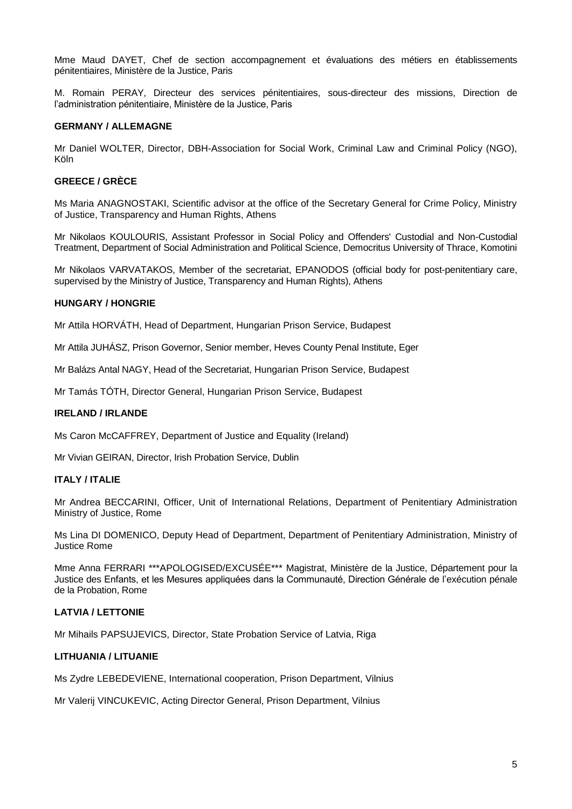Mme Maud DAYET, Chef de section accompagnement et évaluations des métiers en établissements pénitentiaires, Ministère de la Justice, Paris

M. Romain PERAY, Directeur des services pénitentiaires, sous-directeur des missions, Direction de l'administration pénitentiaire, Ministère de la Justice, Paris

#### **GERMANY / ALLEMAGNE**

Mr Daniel WOLTER, Director, DBH-Association for Social Work, Criminal Law and Criminal Policy (NGO), Köln

#### **GREECE / GRÈCE**

Ms Maria ANAGNOSTAKI, Scientific advisor at the office of the Secretary General for Crime Policy, Ministry of Justice, Transparency and Human Rights, Athens

Mr Nikolaos KOULOURIS, Assistant Professor in Social Policy and Offenders' Custodial and Non-Custodial Treatment, Department of Social Administration and Political Science, Democritus University of Thrace, Komotini

Mr Nikolaos VARVATAKOS, Member of the secretariat, EPANODOS (official body for post-penitentiary care, supervised by the Ministry of Justice, Transparency and Human Rights), Athens

#### **HUNGARY / HONGRIE**

Mr Attila HORVÁTH, Head of Department, Hungarian Prison Service, Budapest

Mr Attila JUHÁSZ, Prison Governor, Senior member, Heves County Penal Institute, Eger

Mr Balázs Antal NAGY, Head of the Secretariat, Hungarian Prison Service, Budapest

Mr Tamás TÓTH, Director General, Hungarian Prison Service, Budapest

#### **IRELAND / IRLANDE**

Ms Caron McCAFFREY, Department of Justice and Equality (Ireland)

Mr Vivian GEIRAN, Director, Irish Probation Service, Dublin

#### **ITALY / ITALIE**

Mr Andrea BECCARINI, Officer, Unit of International Relations, Department of Penitentiary Administration Ministry of Justice, Rome

Ms Lina DI DOMENICO, Deputy Head of Department, Department of Penitentiary Administration, Ministry of Justice Rome

Mme Anna FERRARI \*\*\*APOLOGISED/EXCUSÉE\*\*\* Magistrat, Ministère de la Justice, Département pour la Justice des Enfants, et les Mesures appliquées dans la Communauté, Direction Générale de l'exécution pénale de la Probation, Rome

### **LATVIA / LETTONIE**

Mr Mihails PAPSUJEVICS, Director, State Probation Service of Latvia, Riga

#### **LITHUANIA / LITUANIE**

Ms Zydre LEBEDEVIENE, International cooperation, Prison Department, Vilnius

Mr Valerij VINCUKEVIC, Acting Director General, Prison Department, Vilnius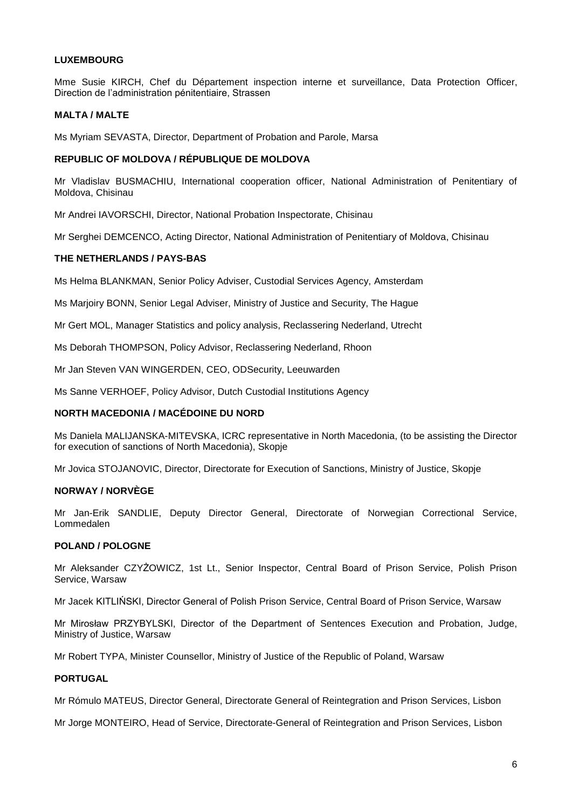#### **LUXEMBOURG**

Mme Susie KIRCH, Chef du Département inspection interne et surveillance, Data Protection Officer, Direction de l'administration pénitentiaire, Strassen

#### **MALTA / MALTE**

Ms Myriam SEVASTA, Director, Department of Probation and Parole, Marsa

#### **REPUBLIC OF MOLDOVA / [RÉPUBLIQUE DE MOLDOVA](http://intranet.coe.int/jahia/Jahia/lang/en/Accueil/Protocol/Diplomatic_missions_and_Protocol_Lists/Diplomatic_Missions_#Moldova)**

Mr Vladislav BUSMACHIU, International cooperation officer, National Administration of Penitentiary of Moldova, Chisinau

Mr Andrei IAVORSCHI, Director, National Probation Inspectorate, Chisinau

Mr Serghei DEMCENCO, Acting Director, National Administration of Penitentiary of Moldova, Chisinau

#### **THE NETHERLANDS / PAYS-BAS**

Ms Helma BLANKMAN, Senior Policy Adviser, Custodial Services Agency, Amsterdam

Ms Marjoiry BONN, Senior Legal Adviser, Ministry of Justice and Security, The Hague

Mr Gert MOL, Manager Statistics and policy analysis, Reclassering Nederland, Utrecht

Ms Deborah THOMPSON, Policy Advisor, Reclassering Nederland, Rhoon

Mr Jan Steven VAN WINGERDEN, CEO, ODSecurity, Leeuwarden

Ms Sanne VERHOEF, Policy Advisor, Dutch Custodial Institutions Agency

#### **NORTH MACEDONIA / MACÉDOINE DU NORD**

Ms Daniela MALIJANSKA-MITEVSKA, ICRC representative in North Macedonia, (to be assisting the Director for execution of sanctions of North Macedonia), Skopje

Mr Jovica STOJANOVIC, Director, Directorate for Execution of Sanctions, Ministry of Justice, Skopje

#### **NORWAY / NORVÈGE**

Mr Jan-Erik SANDLIE, Deputy Director General, Directorate of Norwegian Correctional Service, Lommedalen

#### **POLAND / POLOGNE**

Mr Aleksander CZYŻOWICZ, 1st Lt., Senior Inspector, Central Board of Prison Service, Polish Prison Service, Warsaw

Mr Jacek KITLIŃSKI, Director General of Polish Prison Service, Central Board of Prison Service, Warsaw

Mr Mirosław PRZYBYLSKI, Director of the Department of Sentences Execution and Probation, Judge, Ministry of Justice, Warsaw

Mr Robert TYPA, Minister Counsellor, Ministry of Justice of the Republic of Poland, Warsaw

#### **PORTUGAL**

Mr Rómulo MATEUS, Director General, Directorate General of Reintegration and Prison Services, Lisbon

Mr Jorge MONTEIRO, Head of Service, Directorate-General of Reintegration and Prison Services, Lisbon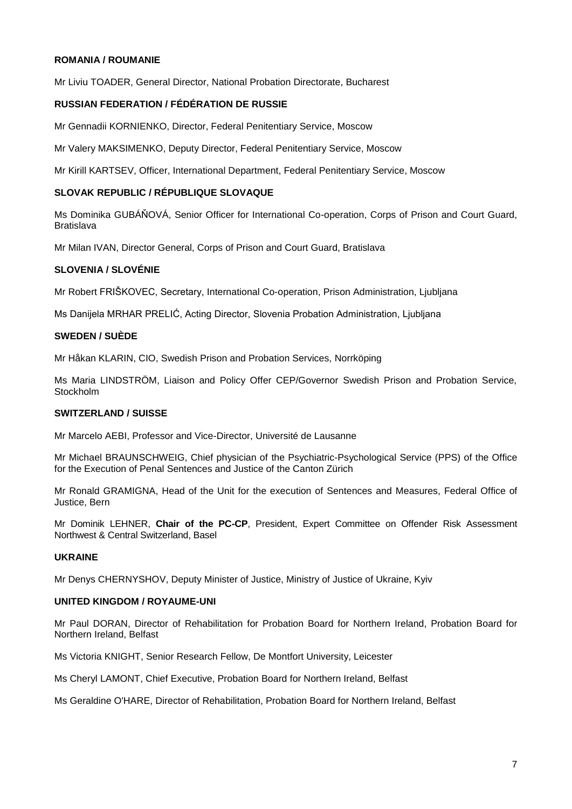#### **ROMANIA / ROUMANIE**

Mr Liviu TOADER, General Director, National Probation Directorate, Bucharest

### **RUSSIAN FEDERATION / FÉDÉRATION DE RUSSIE**

Mr Gennadii KORNIENKO, Director, Federal Penitentiary Service, Moscow

Mr Valery MAKSIMENKO, Deputy Director, Federal Penitentiary Service, Moscow

Mr Kirill KARTSEV, Officer, International Department, Federal Penitentiary Service, Moscow

### **SLOVAK REPUBLIC / RÉPUBLIQUE SLOVAQUE**

Ms Dominika GUBÁŇOVÁ, Senior Officer for International Co-operation, Corps of Prison and Court Guard, Bratislava

Mr Milan IVAN, Director General, Corps of Prison and Court Guard, Bratislava

#### **SLOVENIA / SLOVÉNIE**

Mr Robert FRIŠKOVEC, Secretary, International Co-operation, Prison Administration, Ljubljana

Ms Danijela MRHAR PRELIĆ, Acting Director, Slovenia Probation Administration, Ljubljana

#### **SWEDEN / SUÈDE**

Mr Håkan KLARIN, CIO, Swedish Prison and Probation Services, Norrköping

Ms Maria LINDSTRÖM, Liaison and Policy Offer CEP/Governor Swedish Prison and Probation Service, **Stockholm** 

#### **SWITZERLAND / SUISSE**

Mr Marcelo AEBI, Professor and Vice-Director, Université de Lausanne

Mr Michael BRAUNSCHWEIG, Chief physician of the Psychiatric-Psychological Service (PPS) of the Office for the Execution of Penal Sentences and Justice of the Canton Zürich

Mr Ronald GRAMIGNA, Head of the Unit for the execution of Sentences and Measures, Federal Office of Justice, Bern

Mr Dominik LEHNER, **Chair of the PC-CP**, President, Expert Committee on Offender Risk Assessment Northwest & Central Switzerland, Basel

#### **UKRAINE**

Mr Denys CHERNYSHOV, Deputy Minister of Justice, Ministry of Justice of Ukraine, Kyiv

#### **UNITED KINGDOM / ROYAUME-UNI**

Mr Paul DORAN, Director of Rehabilitation for Probation Board for Northern Ireland, Probation Board for Northern Ireland, Belfast

Ms Victoria KNIGHT, Senior Research Fellow, De Montfort University, Leicester

Ms Cheryl LAMONT, Chief Executive, Probation Board for Northern Ireland, Belfast

Ms Geraldine O'HARE, Director of Rehabilitation, Probation Board for Northern Ireland, Belfast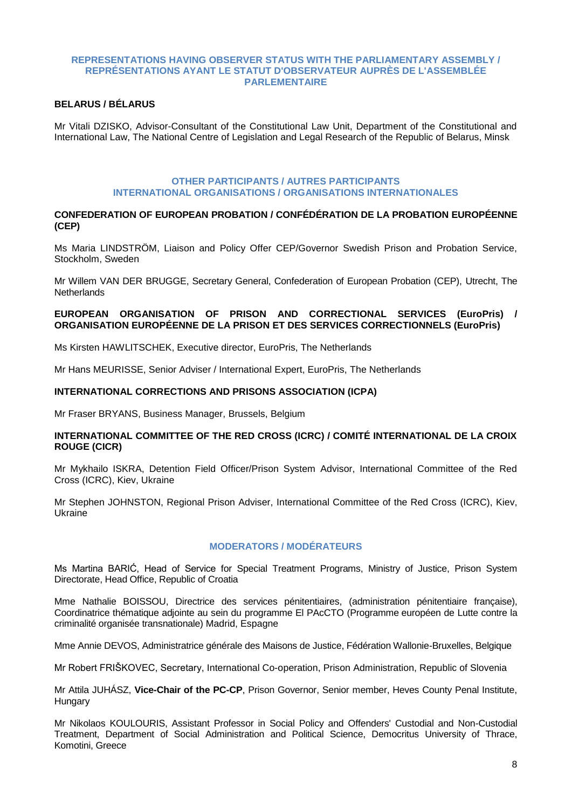#### **REPRESENTATIONS HAVING OBSERVER STATUS WITH THE PARLIAMENTARY ASSEMBLY / REPRÉSENTATIONS AYANT LE STATUT D'OBSERVATEUR AUPRÈS DE L'ASSEMBLÉE PARLEMENTAIRE**

## **BELARUS / BÉLARUS**

Mr Vitali DZISKO, Advisor-Consultant of the Constitutional Law Unit, Department of the Constitutional and International Law, The National Centre of Legislation and Legal Research of the Republic of Belarus, Minsk

#### **OTHER PARTICIPANTS / AUTRES PARTICIPANTS INTERNATIONAL ORGANISATIONS / ORGANISATIONS INTERNATIONALES**

#### **CONFEDERATION OF EUROPEAN PROBATION / CONFÉDÉRATION DE LA PROBATION EUROPÉENNE (CEP)**

Ms Maria LINDSTRÖM, Liaison and Policy Offer CEP/Governor Swedish Prison and Probation Service, Stockholm, Sweden

Mr Willem VAN DER BRUGGE, Secretary General, Confederation of European Probation (CEP), Utrecht, The **Netherlands** 

#### **EUROPEAN ORGANISATION OF PRISON AND CORRECTIONAL SERVICES (EuroPris) / ORGANISATION EUROPÉENNE DE LA PRISON ET DES SERVICES CORRECTIONNELS (EuroPris)**

Ms Kirsten HAWLITSCHEK, Executive director, EuroPris, The Netherlands

Mr Hans MEURISSE, Senior Adviser / International Expert, EuroPris, The Netherlands

#### **INTERNATIONAL CORRECTIONS AND PRISONS ASSOCIATION (ICPA)**

Mr Fraser BRYANS, Business Manager, Brussels, Belgium

#### **INTERNATIONAL COMMITTEE OF THE RED CROSS (ICRC) / COMITÉ INTERNATIONAL DE LA CROIX ROUGE (CICR)**

Mr Mykhailo ISKRA, Detention Field Officer/Prison System Advisor, International Committee of the Red Cross (ICRC), Kiev, Ukraine

Mr Stephen JOHNSTON, Regional Prison Adviser, International Committee of the Red Cross (ICRC), Kiev, Ukraine

## **MODERATORS / MODÉRATEURS**

Ms Martina BARIĆ, Head of Service for Special Treatment Programs, Ministry of Justice, Prison System Directorate, Head Office, Republic of Croatia

Mme Nathalie BOISSOU, Directrice des services pénitentiaires, (administration pénitentiaire française), Coordinatrice thématique adjointe au sein du programme El PAcCTO (Programme européen de Lutte contre la criminalité organisée transnationale) Madrid, Espagne

Mme Annie DEVOS, Administratrice générale des Maisons de Justice, Fédération Wallonie-Bruxelles, Belgique

Mr Robert FRIŠKOVEC, Secretary, International Co-operation, Prison Administration, Republic of Slovenia

Mr Attila JUHÁSZ, **Vice-Chair of the PC-CP**, Prison Governor, Senior member, Heves County Penal Institute, **Hungary** 

Mr Nikolaos KOULOURIS, Assistant Professor in Social Policy and Offenders' Custodial and Non-Custodial Treatment, Department of Social Administration and Political Science, Democritus University of Thrace, Komotini, Greece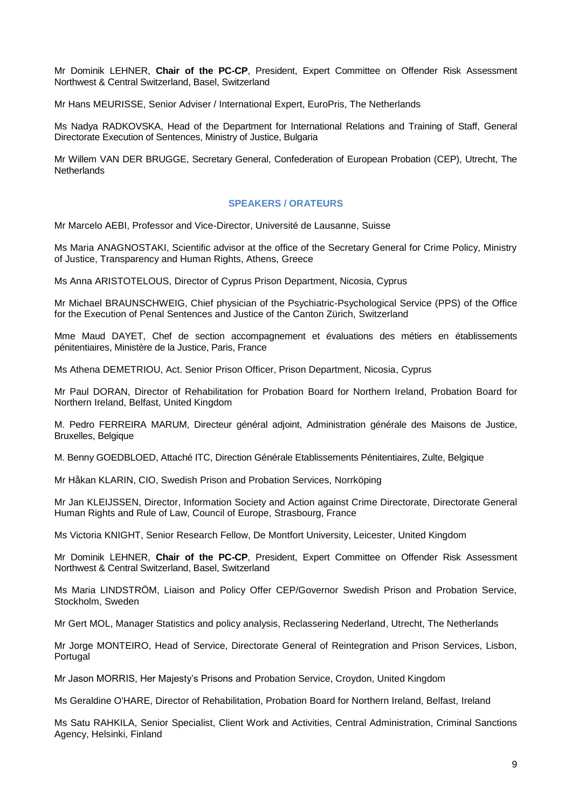Mr Dominik LEHNER, **Chair of the PC-CP**, President, Expert Committee on Offender Risk Assessment Northwest & Central Switzerland, Basel, Switzerland

Mr Hans MEURISSE, Senior Adviser / International Expert, EuroPris, The Netherlands

Ms Nadya RADKOVSKA, Head of the Department for International Relations and Training of Staff, General Directorate Execution of Sentences, Ministry of Justice, Bulgaria

Mr Willem VAN DER BRUGGE, Secretary General, Confederation of European Probation (CEP), Utrecht, The **Netherlands** 

#### **SPEAKERS / ORATEURS**

Mr Marcelo AEBI, Professor and Vice-Director, Université de Lausanne, Suisse

Ms Maria ANAGNOSTAKI, Scientific advisor at the office of the Secretary General for Crime Policy, Ministry of Justice, Transparency and Human Rights, Athens, Greece

Ms Anna ARISTOTELOUS, Director of Cyprus Prison Department, Nicosia, Cyprus

Mr Michael BRAUNSCHWEIG, Chief physician of the Psychiatric-Psychological Service (PPS) of the Office for the Execution of Penal Sentences and Justice of the Canton Zürich, Switzerland

Mme Maud DAYET, Chef de section accompagnement et évaluations des métiers en établissements pénitentiaires, Ministère de la Justice, Paris, France

Ms Athena DEMETRIOU, Act. Senior Prison Officer, Prison Department, Nicosia, Cyprus

Mr Paul DORAN, Director of Rehabilitation for Probation Board for Northern Ireland, Probation Board for Northern Ireland, Belfast, United Kingdom

M. Pedro FERREIRA MARUM, Directeur général adjoint, Administration générale des Maisons de Justice, Bruxelles, Belgique

M. Benny GOEDBLOED, Attaché ITC, Direction Générale Etablissements Pénitentiaires, Zulte, Belgique

Mr Håkan KLARIN, CIO, Swedish Prison and Probation Services, Norrköping

Mr Jan KLEIJSSEN, Director, Information Society and Action against Crime Directorate, Directorate General Human Rights and Rule of Law, Council of Europe, Strasbourg, France

Ms Victoria KNIGHT, Senior Research Fellow, De Montfort University, Leicester, United Kingdom

Mr Dominik LEHNER, **Chair of the PC-CP**, President, Expert Committee on Offender Risk Assessment Northwest & Central Switzerland, Basel, Switzerland

Ms Maria LINDSTRÖM, Liaison and Policy Offer CEP/Governor Swedish Prison and Probation Service, Stockholm, Sweden

Mr Gert MOL, Manager Statistics and policy analysis, Reclassering Nederland, Utrecht, The Netherlands

Mr Jorge MONTEIRO, Head of Service, Directorate General of Reintegration and Prison Services, Lisbon, Portugal

Mr Jason MORRIS, Her Majesty's Prisons and Probation Service, Croydon, United Kingdom

Ms Geraldine O'HARE, Director of Rehabilitation, Probation Board for Northern Ireland, Belfast, Ireland

Ms Satu RAHKILA, Senior Specialist, Client Work and Activities, Central Administration, Criminal Sanctions Agency, Helsinki, Finland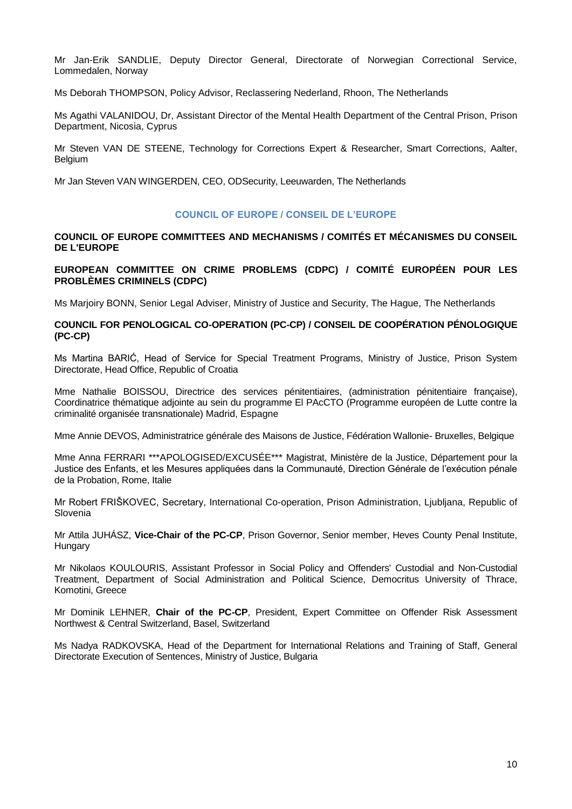Mr Jan-Erik SANDLIE, Deputy Director General, Directorate of Norwegian Correctional Service, Lommedalen, Norway

Ms Deborah THOMPSON, Policy Advisor, Reclassering Nederland, Rhoon, The Netherlands

Ms Agathi VALANIDOU, Dr, Assistant Director of the Mental Health Department of the Central Prison, Prison Department, Nicosia, Cyprus

Mr Steven VAN DE STEENE, Technology for Corrections Expert & Researcher, Smart Corrections, Aalter, **Belgium** 

Mr Jan Steven VAN WINGERDEN, CEO, ODSecurity, Leeuwarden, The Netherlands

### **COUNCIL OF EUROPE / CONSEIL DE L'EUROPE**

### **COUNCIL OF EUROPE COMMITTEES AND MECHANISMS / COMITÉS ET MÉCANISMES DU CONSEIL DE L'EUROPE**

**EUROPEAN COMMITTEE ON CRIME PROBLEMS (CDPC) / COMITÉ EUROPÉEN POUR LES PROBLÈMES CRIMINELS (CDPC)**

Ms Marjoiry BONN, Senior Legal Adviser, Ministry of Justice and Security, The Hague, The Netherlands

#### **COUNCIL FOR PENOLOGICAL CO-OPERATION (PC-CP) / CONSEIL DE COOPÉRATION PÉNOLOGIQUE (PC-CP)**

Ms Martina BARIĆ, Head of Service for Special Treatment Programs, Ministry of Justice, Prison System Directorate, Head Office, Republic of Croatia

Mme Nathalie BOISSOU, Directrice des services pénitentiaires, (administration pénitentiaire française), Coordinatrice thématique adjointe au sein du programme El PAcCTO (Programme européen de Lutte contre la criminalité organisée transnationale) Madrid, Espagne

Mme Annie DEVOS, Administratrice générale des Maisons de Justice, Fédération Wallonie- Bruxelles, Belgique

Mme Anna FERRARI \*\*\*APOLOGISED/EXCUSÉE\*\*\* Magistrat, Ministère de la Justice, Département pour la Justice des Enfants, et les Mesures appliquées dans la Communauté, Direction Générale de l'exécution pénale de la Probation, Rome, Italie

Mr Robert FRIŠKOVEC, Secretary, International Co-operation, Prison Administration, Ljubljana, Republic of Slovenia

Mr Attila JUHÁSZ, **Vice-Chair of the PC-CP**, Prison Governor, Senior member, Heves County Penal Institute, Hungary

Mr Nikolaos KOULOURIS, Assistant Professor in Social Policy and Offenders' Custodial and Non-Custodial Treatment, Department of Social Administration and Political Science, Democritus University of Thrace, Komotini, Greece

Mr Dominik LEHNER, **Chair of the PC-CP**, President, Expert Committee on Offender Risk Assessment Northwest & Central Switzerland, Basel, Switzerland

Ms Nadya RADKOVSKA, Head of the Department for International Relations and Training of Staff, General Directorate Execution of Sentences, Ministry of Justice, Bulgaria